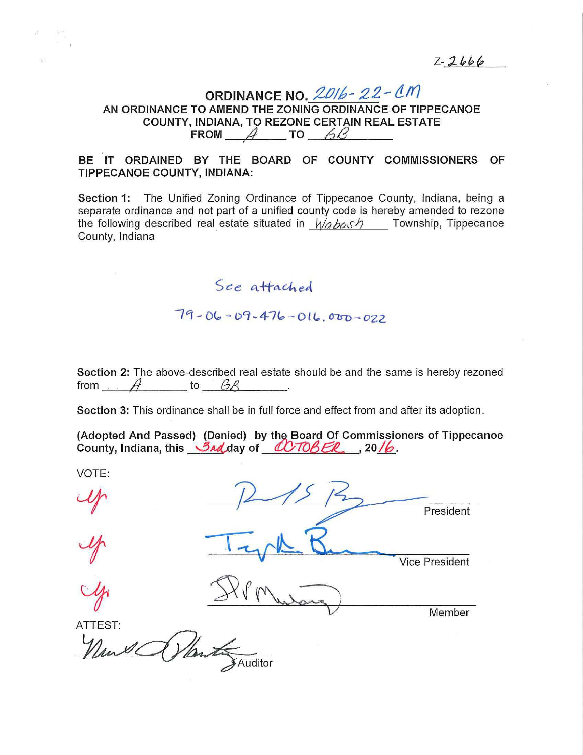$Z - 2666$ 

# ORDINANCE NO. 2016 - 22 - CM AN ORDINANCE TO AMEND THE ZONING ORDINANCE OF TIPPECANOE COUNTY, INDIANA, TO REZONE CERTAIN REAL ESTATE FROM .JJ TO *\_\_\_\_.A....* ~-=8 *\_\_ \_*

### BE IT ORDAINED BY THE BOARD OF COUNTY COMMISSIONERS OF TIPPECANOE COUNTY, INDIANA:

Section 1: The Unified Zoning Ordinance of Tippecanoe County, Indiana, being a separate ordinance and not part of a unified county code is hereby amended to rezone the following described real estate situated in  $h/a$  *bosh* Township, Tippecanoe County, Indiana

See attached

79 - 06 - 09 - 476 - 016.000 - 022

Section 2: The above-described real estate should be and the same is hereby rezoned from  $A$  to  $GA$ 

Section 3: This ordinance shall be in full force and effect from and after its adoption.

(Adopted And Passed) (Denied) by the Board Of Commissioners of Tippecanoe County, Indiana, this  $\mathcal{S}_{\mathcal{A}}$  day of  $\mathcal{A}\mathcal{C}$ TOBER...20/6.

VOTE:

President Vice President Member ATTEST:  $\ell$  ) la -<br>dito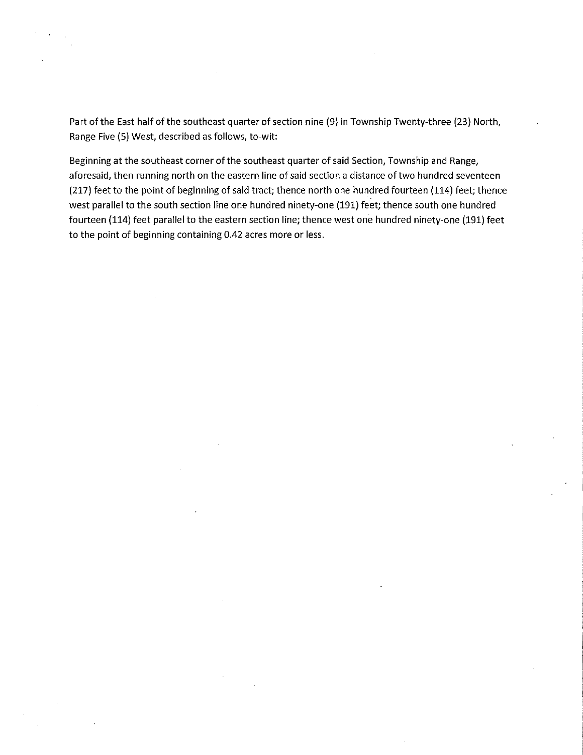Part of the East half of the southeast quarter of section nine (9) in Township Twenty-three (23) North, Range Five (5) West, described as follows, to-wit:

Beginning at the southeast corner of the southeast quarter of said Section, Township and Range, aforesaid, then running north on the eastern line of said section a distance of two hundred seventeen {217) feet to the point of beginning of said tract; thence north one hundred fourteen {114) feet; thence west parallel to the south section line one hundred ninety-one {191) feet; thence south one hundred fourteen {114) feet parallel to the eastern section line; thence west one hundred ninety-one (191) feet to the point of beginning containing 0.42 acres more or less.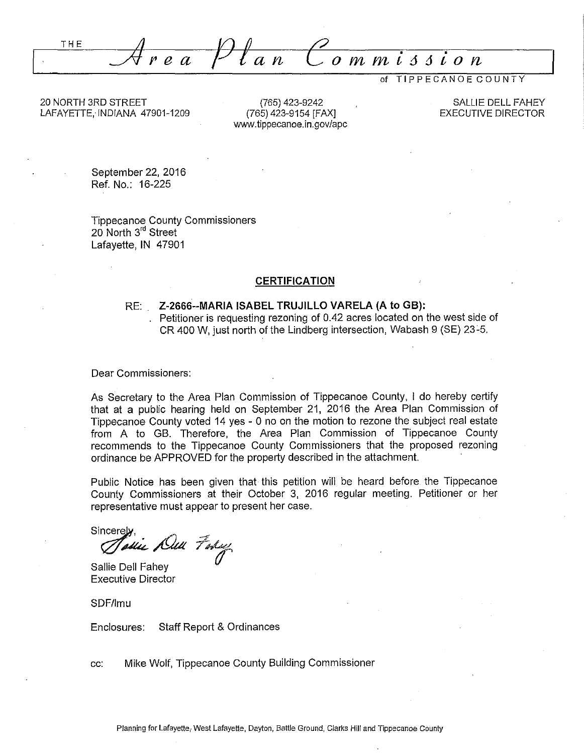$A_{rea}$   $D_{tan}$   $C_{ommission}$ 

of TIPPECANOE COUNTY

20 NORTH 3RD STREET LAFAYETTE, INDIANA 47901-1209

(765) 423-9242 (765) 423-9154 [FAX] www.tippecanoe.in.gov/apc

SALLIE DELL FAHEY EXECUTIVE DIRECTOR

September 22, 2016 Ref. No.: 16-225

Tippecanoe County Commissioners 20 North 3<sup>rd</sup> Street Lafayette, IN 47901

#### **CERTIFICATION**

RE: . **Z-2666--MARIA !SABEL TRUJILLO VARELA (A to GB):**  Petitioner is requesting rezoning of 0.42 acres located on the west side of CR 400 W, just north of the Lindberg intersection, Wabash 9 (SE) 23-5.

Dear Commissioners:

As Secretary to the Area Plan Commission of Tippecanoe County, I do hereby certify that at a public hearing held on September 21, 2016 the Area Plan Commission of Tippecanoe County voted 14 yes - 0 no on the motion to rezone the subject real estate from A to GB. Therefore, the Area Plan Commission of Tippecanoe County recommends to the Tippecanoe County Commissioners that the proposed rezoning ordinance be APPROVED for the property described in the attachment.

Public Notice has been given that this petition will be heard before the Tippecanoe County Commissioners at their October 3, 2016 regular meeting. Petitioner or her representative must appear to present her case.

Sincerely. rey,<br>Tadii Dul Fody

Sallie Dell Fahey Executive Director

SDF/lmu

Enclosures: Staff Report & Ordinances

cc: Mike Wolf, Tippecanoe County Building Commissioner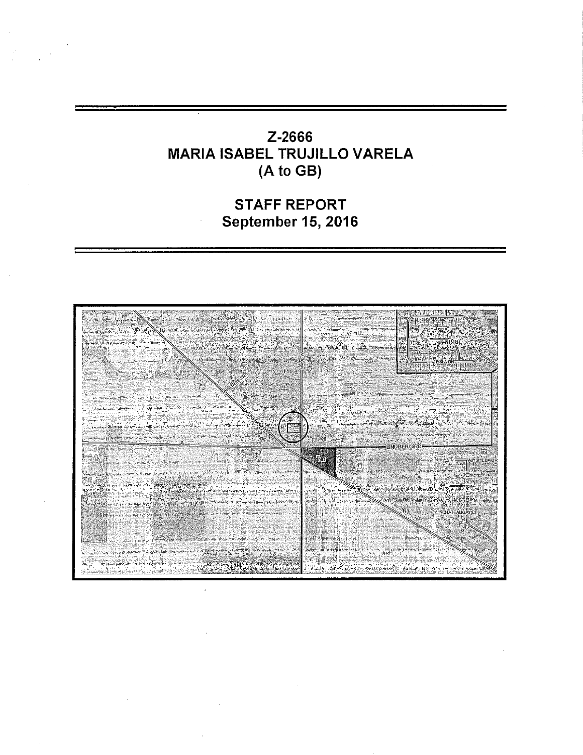### Z-2666 MARIA !SABEL TRUJILLO VARELA (A to GB)

## STAFF REPORT September 15, 2016

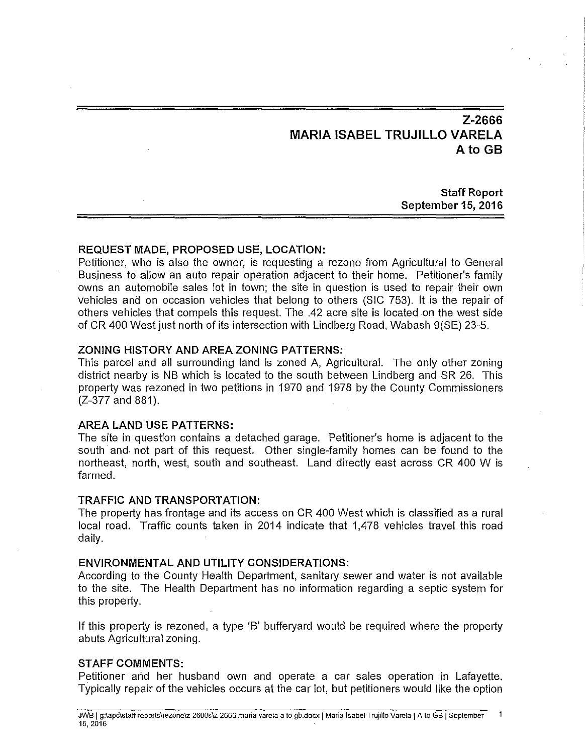### **Z-2666 MARIA ISABEL TRUJILLO VARELA A to GB**

**Staff Report September 15, 2016** 

#### **REQUEST MADE, PROPOSED USE, LOCATION:**

Petitioner, who is also the owner, is requesting a rezone from Agricultural to General Business to allow an auto repair operation adjacent to their home. Petitioner's family owns an automobile sales lot in town; the site in question is used to repair their own vehicles and on occasion vehicles that belong to others (SIC 753). It is the repair of others vehicles that compels this request. The .42 acre site is located on the west side of CR 400 West just north of its intersection with Lindberg Road, Wabash 9(SE) 23-5.

#### **ZONING HISTORY AND AREA ZONING PATTERNS:**

This parcel and all surrounding land is zoned A, Agricultural. The only other zoning district nearby is NB which is located to the south between Lindberg and SR 26. This property was rezoned in two petitions in 1970 and 1978 by the County Commissioners  $(Z-377$  and 881).

#### **AREA LAND USE PATTERNS:**

The site in question contains a detached garage. Petitioner's home is adjacent to the south and not part of this request. Other single-family homes can be found to the northeast, north, west, south and southeast. Land directly east across CR 400 W is farmed.

#### **TRAFFIC AND TRANSPORTATION:**

The property has frontage and its access on CR 400 West which is classified as a rural local road. Traffic counts taken in 2014 indicate that 1,478 vehicles travel this road daily.

#### **ENVIRONMENTAL AND UTILITY CONSIDERATIONS:**

According to the County Health Department, sanitary sewer and water is not available to the site. The Health Department has no information regarding a septic system for this property.

If this property is rezoned, a type 'B' bufferyard would be required where the property abuts Agricultural zoning.

#### **STAFF COMMENTS:**

Petitioner and her husband own and operate a car sales operation in Lafayette. Typically repair of the vehicles occurs at the car lot, but petitioners would like the option